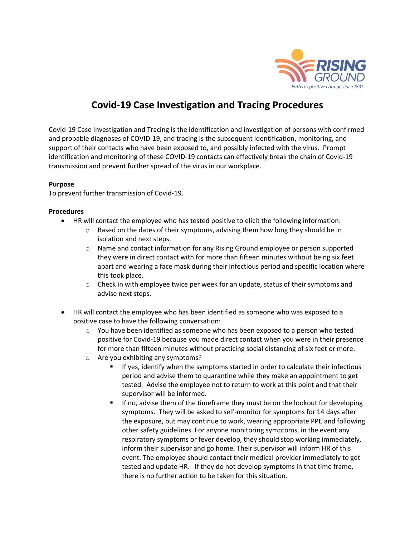

## **Covid-19 Case Investigation and Tracing Procedures**

Covid-19 Case Investigation and Tracing is the identification and investigation of persons with confirmed and probable diagnoses of COVID-19, and tracing is the subsequent identification, monitoring, and support of their contacts who have been exposed to, and possibly infected with the virus. Prompt identification and monitoring of these COVID-19 contacts can effectively break the chain of Covid-19 transmission and prevent further spread of the virus in our workplace.

## **Purpose**

To prevent further transmission of Covid-19.

## **Procedures**

- HR will contact the employee who has tested positive to elicit the following information:
	- $\circ$  Based on the dates of their symptoms, advising them how long they should be in isolation and next steps.
		- o Name and contact information for any Rising Ground employee or person supported they were in direct contact with for more than fifteen minutes without being six feet apart and wearing a face mask during their infectious period and specific location where this took place.
		- $\circ$  Check in with employee twice per week for an update, status of their symptoms and advise next steps.
- HR will contact the employee who has been identified as someone who was exposed to a positive case to have the following conversation:
	- $\circ$  You have been identified as someone who has been exposed to a person who tested positive for Covid-19 because you made direct contact when you were in their presence for more than fifteen minutes without practicing social distancing of six feet or more.
	- o Are you exhibiting any symptoms?
		- If yes, identify when the symptoms started in order to calculate their infectious period and advise them to quarantine while they make an appointment to get tested. Advise the employee not to return to work at this point and that their supervisor will be informed.
		- **■** If no, advise them of the timeframe they must be on the lookout for developing symptoms. They will be asked to self-monitor for symptoms for 14 days after the exposure, but may continue to work, wearing appropriate PPE and following other safety guidelines. For anyone monitoring symptoms, in the event any respiratory symptoms or fever develop, they should stop working immediately, inform their supervisor and go home. Their supervisor will inform HR of this event. The employee should contact their medical provider immediately to get tested and update HR. If they do not develop symptoms in that time frame, there is no further action to be taken for this situation.